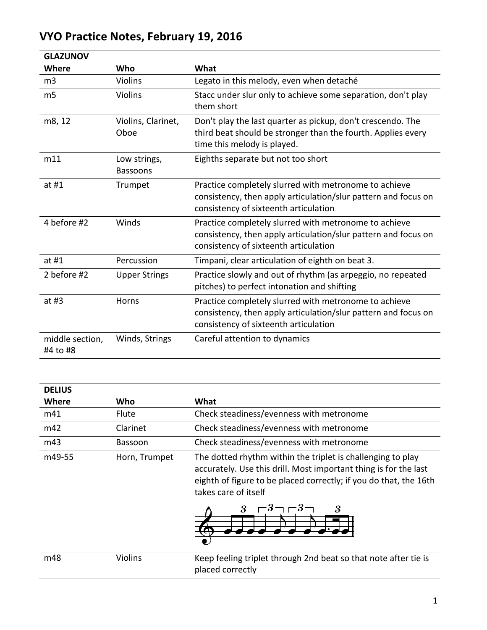| <b>GLAZUNOV</b>             |                                 |                                                                                                                                                                  |
|-----------------------------|---------------------------------|------------------------------------------------------------------------------------------------------------------------------------------------------------------|
| Where                       | Who                             | What                                                                                                                                                             |
| m3                          | <b>Violins</b>                  | Legato in this melody, even when detaché                                                                                                                         |
| m <sub>5</sub>              | Violins                         | Stacc under slur only to achieve some separation, don't play<br>them short                                                                                       |
| m8, 12                      | Violins, Clarinet,<br>Oboe      | Don't play the last quarter as pickup, don't crescendo. The<br>third beat should be stronger than the fourth. Applies every<br>time this melody is played.       |
| m11                         | Low strings,<br><b>Bassoons</b> | Eighths separate but not too short                                                                                                                               |
| at $#1$                     | Trumpet                         | Practice completely slurred with metronome to achieve<br>consistency, then apply articulation/slur pattern and focus on<br>consistency of sixteenth articulation |
| 4 before #2                 | Winds                           | Practice completely slurred with metronome to achieve<br>consistency, then apply articulation/slur pattern and focus on<br>consistency of sixteenth articulation |
| at $#1$                     | Percussion                      | Timpani, clear articulation of eighth on beat 3.                                                                                                                 |
| 2 before #2                 | <b>Upper Strings</b>            | Practice slowly and out of rhythm (as arpeggio, no repeated<br>pitches) to perfect intonation and shifting                                                       |
| at $#3$                     | Horns                           | Practice completely slurred with metronome to achieve<br>consistency, then apply articulation/slur pattern and focus on<br>consistency of sixteenth articulation |
| middle section,<br>#4 to #8 | Winds, Strings                  | Careful attention to dynamics                                                                                                                                    |

## **VYO Practice Notes, February 19, 2016**

| <b>DELIUS</b> |                |                                                                                                                                                                                                                                               |
|---------------|----------------|-----------------------------------------------------------------------------------------------------------------------------------------------------------------------------------------------------------------------------------------------|
| Where         | Who            | What                                                                                                                                                                                                                                          |
| m41           | <b>Flute</b>   | Check steadiness/evenness with metronome                                                                                                                                                                                                      |
| m42           | Clarinet       | Check steadiness/evenness with metronome                                                                                                                                                                                                      |
| m43           | <b>Bassoon</b> | Check steadiness/evenness with metronome                                                                                                                                                                                                      |
| m49-55        | Horn, Trumpet  | The dotted rhythm within the triplet is challenging to play<br>accurately. Use this drill. Most important thing is for the last<br>eighth of figure to be placed correctly; if you do that, the 16th<br>takes care of itself<br>3 $-3-3$<br>3 |
| m48           | <b>Violins</b> | Keep feeling triplet through 2nd beat so that note after tie is<br>placed correctly                                                                                                                                                           |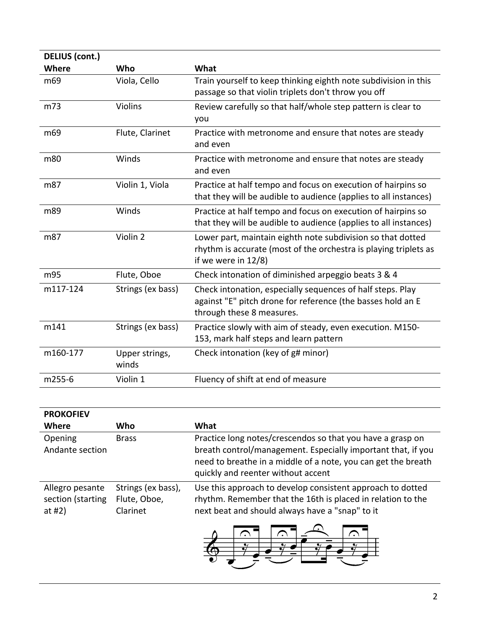| DELIUS (cont.)  |                         |                                                                                                                                                        |
|-----------------|-------------------------|--------------------------------------------------------------------------------------------------------------------------------------------------------|
| <b>Where</b>    | Who                     | What                                                                                                                                                   |
| m69             | Viola, Cello            | Train yourself to keep thinking eighth note subdivision in this<br>passage so that violin triplets don't throw you off                                 |
| m73             | <b>Violins</b>          | Review carefully so that half/whole step pattern is clear to<br>you                                                                                    |
| m <sub>69</sub> | Flute, Clarinet         | Practice with metronome and ensure that notes are steady<br>and even                                                                                   |
| m80             | Winds                   | Practice with metronome and ensure that notes are steady<br>and even                                                                                   |
| m87             | Violin 1, Viola         | Practice at half tempo and focus on execution of hairpins so<br>that they will be audible to audience (applies to all instances)                       |
| m89             | Winds                   | Practice at half tempo and focus on execution of hairpins so<br>that they will be audible to audience (applies to all instances)                       |
| m87             | Violin 2                | Lower part, maintain eighth note subdivision so that dotted<br>rhythm is accurate (most of the orchestra is playing triplets as<br>if we were in 12/8) |
| m95             | Flute, Oboe             | Check intonation of diminished arpeggio beats 3 & 4                                                                                                    |
| m117-124        | Strings (ex bass)       | Check intonation, especially sequences of half steps. Play<br>against "E" pitch drone for reference (the basses hold an E<br>through these 8 measures. |
| m141            | Strings (ex bass)       | Practice slowly with aim of steady, even execution. M150-<br>153, mark half steps and learn pattern                                                    |
| m160-177        | Upper strings,<br>winds | Check intonation (key of g# minor)                                                                                                                     |
| m255-6          | Violin 1                | Fluency of shift at end of measure                                                                                                                     |

| <b>PROKOFIEV</b>                                  |                                                |                                                                                                                                                                                                                                   |
|---------------------------------------------------|------------------------------------------------|-----------------------------------------------------------------------------------------------------------------------------------------------------------------------------------------------------------------------------------|
| <b>Where</b>                                      | Who                                            | What                                                                                                                                                                                                                              |
| Opening<br>Andante section                        | <b>Brass</b>                                   | Practice long notes/crescendos so that you have a grasp on<br>breath control/management. Especially important that, if you<br>need to breathe in a middle of a note, you can get the breath<br>quickly and reenter without accent |
| Allegro pesante<br>section (starting<br>at #2 $)$ | Strings (ex bass),<br>Flute, Oboe,<br>Clarinet | Use this approach to develop consistent approach to dotted<br>rhythm. Remember that the 16th is placed in relation to the<br>next beat and should always have a "snap" to it                                                      |

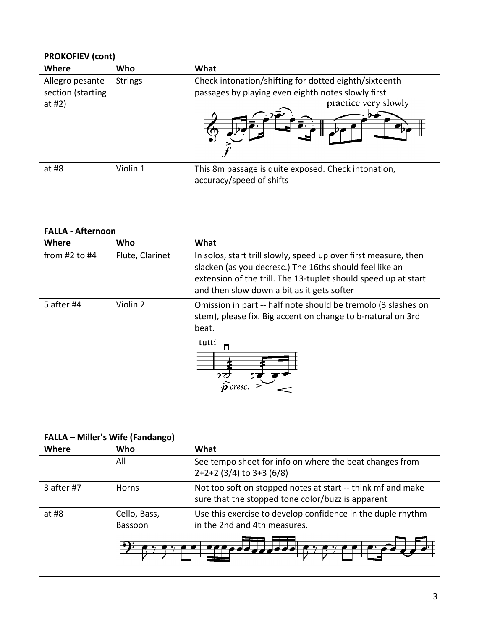| <b>PROKOFIEV (cont)</b>                           |                |                                                                                                                                                  |
|---------------------------------------------------|----------------|--------------------------------------------------------------------------------------------------------------------------------------------------|
| Where                                             | Who            | What                                                                                                                                             |
| Allegro pesante<br>section (starting<br>at #2 $)$ | <b>Strings</b> | Check intonation/shifting for dotted eighth/sixteenth<br>passages by playing even eighth notes slowly first<br>practice very slowly<br>$\bullet$ |
| at #8                                             | Violin 1       | This 8m passage is quite exposed. Check intonation,<br>accuracy/speed of shifts                                                                  |

| <b>FALLA - Afternoon</b> |                 |                                                                                                                                                                                                                                            |
|--------------------------|-----------------|--------------------------------------------------------------------------------------------------------------------------------------------------------------------------------------------------------------------------------------------|
| Where                    | Who             | What                                                                                                                                                                                                                                       |
| from $#2$ to $#4$        | Flute, Clarinet | In solos, start trill slowly, speed up over first measure, then<br>slacken (as you decresc.) The 16ths should feel like an<br>extension of the trill. The 13-tuplet should speed up at start<br>and then slow down a bit as it gets softer |
| 5 after #4               | Violin 2        | Omission in part -- half note should be tremolo (3 slashes on<br>stem), please fix. Big accent on change to b-natural on 3rd<br>beat.<br>tutti<br>п<br>cresc.                                                                              |

| <b>FALLA - Miller's Wife (Fandango)</b> |                         |                                                                                                                  |
|-----------------------------------------|-------------------------|------------------------------------------------------------------------------------------------------------------|
| Where                                   | Who                     | What                                                                                                             |
|                                         | All                     | See tempo sheet for info on where the beat changes from<br>$2+2+2$ (3/4) to 3+3 (6/8)                            |
| 3 after #7                              | <b>Horns</b>            | Not too soft on stopped notes at start -- think mf and make<br>sure that the stopped tone color/buzz is apparent |
| at $#8$                                 | Cello, Bass,<br>Bassoon | Use this exercise to develop confidence in the duple rhythm<br>in the 2nd and 4th measures.                      |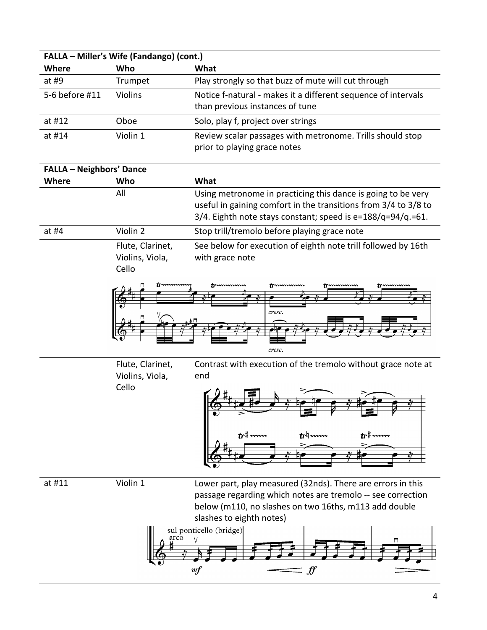|                                 | FALLA - Miller's Wife (Fandango) (cont.) |                                                                                                                                                                                                                                                                                                                                                                                                                                      |
|---------------------------------|------------------------------------------|--------------------------------------------------------------------------------------------------------------------------------------------------------------------------------------------------------------------------------------------------------------------------------------------------------------------------------------------------------------------------------------------------------------------------------------|
| Where                           | Who                                      | What                                                                                                                                                                                                                                                                                                                                                                                                                                 |
| at #9                           | Trumpet                                  | Play strongly so that buzz of mute will cut through                                                                                                                                                                                                                                                                                                                                                                                  |
| 5-6 before #11                  | Violins                                  | Notice f-natural - makes it a different sequence of intervals                                                                                                                                                                                                                                                                                                                                                                        |
|                                 |                                          | than previous instances of tune                                                                                                                                                                                                                                                                                                                                                                                                      |
| at #12                          | Oboe                                     | Solo, play f, project over strings                                                                                                                                                                                                                                                                                                                                                                                                   |
| at #14                          | Violin 1                                 | Review scalar passages with metronome. Trills should stop                                                                                                                                                                                                                                                                                                                                                                            |
|                                 |                                          | prior to playing grace notes                                                                                                                                                                                                                                                                                                                                                                                                         |
| <b>FALLA - Neighbors' Dance</b> |                                          |                                                                                                                                                                                                                                                                                                                                                                                                                                      |
| <b>Where</b>                    | Who                                      | What                                                                                                                                                                                                                                                                                                                                                                                                                                 |
|                                 | All                                      | Using metronome in practicing this dance is going to be very                                                                                                                                                                                                                                                                                                                                                                         |
|                                 |                                          | useful in gaining comfort in the transitions from 3/4 to 3/8 to                                                                                                                                                                                                                                                                                                                                                                      |
|                                 |                                          | 3/4. Eighth note stays constant; speed is e=188/q=94/q.=61.                                                                                                                                                                                                                                                                                                                                                                          |
| at #4                           | Violin 2                                 | Stop trill/tremolo before playing grace note                                                                                                                                                                                                                                                                                                                                                                                         |
|                                 | Flute, Clarinet,                         | See below for execution of eighth note trill followed by 16th                                                                                                                                                                                                                                                                                                                                                                        |
|                                 | Violins, Viola,                          | with grace note                                                                                                                                                                                                                                                                                                                                                                                                                      |
|                                 | Cello                                    |                                                                                                                                                                                                                                                                                                                                                                                                                                      |
|                                 |                                          | truumum<br>tommum<br>trumum                                                                                                                                                                                                                                                                                                                                                                                                          |
|                                 |                                          |                                                                                                                                                                                                                                                                                                                                                                                                                                      |
|                                 |                                          | cresc.                                                                                                                                                                                                                                                                                                                                                                                                                               |
|                                 |                                          |                                                                                                                                                                                                                                                                                                                                                                                                                                      |
|                                 |                                          |                                                                                                                                                                                                                                                                                                                                                                                                                                      |
|                                 |                                          | cresc.                                                                                                                                                                                                                                                                                                                                                                                                                               |
|                                 | Flute, Clarinet,                         | Contrast with execution of the tremolo without grace note at<br>end                                                                                                                                                                                                                                                                                                                                                                  |
|                                 | Violins, Viola,<br>Cello                 |                                                                                                                                                                                                                                                                                                                                                                                                                                      |
|                                 |                                          |                                                                                                                                                                                                                                                                                                                                                                                                                                      |
|                                 |                                          |                                                                                                                                                                                                                                                                                                                                                                                                                                      |
|                                 |                                          |                                                                                                                                                                                                                                                                                                                                                                                                                                      |
|                                 |                                          |                                                                                                                                                                                                                                                                                                                                                                                                                                      |
|                                 |                                          |                                                                                                                                                                                                                                                                                                                                                                                                                                      |
|                                 |                                          |                                                                                                                                                                                                                                                                                                                                                                                                                                      |
| at #11                          | Violin 1                                 | Lower part, play measured (32nds). There are errors in this                                                                                                                                                                                                                                                                                                                                                                          |
|                                 |                                          | passage regarding which notes are tremolo -- see correction                                                                                                                                                                                                                                                                                                                                                                          |
|                                 |                                          | below (m110, no slashes on two 16ths, m113 add double                                                                                                                                                                                                                                                                                                                                                                                |
|                                 |                                          | slashes to eighth notes)                                                                                                                                                                                                                                                                                                                                                                                                             |
|                                 | arco                                     | sul ponticello (bridge)                                                                                                                                                                                                                                                                                                                                                                                                              |
|                                 |                                          |                                                                                                                                                                                                                                                                                                                                                                                                                                      |
|                                 |                                          |                                                                                                                                                                                                                                                                                                                                                                                                                                      |
|                                 |                                          | $\mathcal{F}% _{0}=\mathcal{F}_{0}=\mathcal{F}_{0}=\mathcal{F}_{0}=\mathcal{F}_{0}=\mathcal{F}% _{0}=\mathcal{F}_{0}=\mathcal{F}_{0}=\mathcal{F}% _{0}=\mathcal{F}_{0}=\mathcal{F}% _{0}=\mathcal{F}_{0}=\mathcal{F}_{0}=\mathcal{F}% _{0}=\mathcal{F}% _{0}=\mathcal{F}% _{0}=\mathcal{F}% _{0}=\mathcal{F}% _{0}=\mathcal{F}% _{0}=\mathcal{F}% _{0}=\mathcal{F}% _{0}=\mathcal{F}% _{0}=\mathcal{F}% _{0}=\mathcal{F}% _{$<br>m f |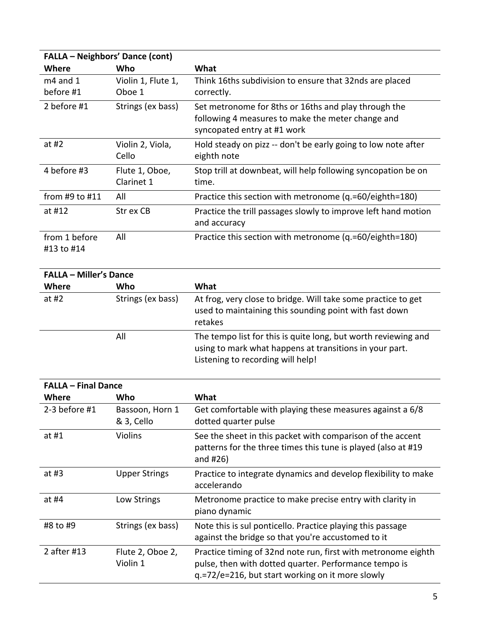| <b>FALLA - Neighbors' Dance (cont)</b> |                              |                                                                                                                                          |
|----------------------------------------|------------------------------|------------------------------------------------------------------------------------------------------------------------------------------|
| Where                                  | Who                          | What                                                                                                                                     |
| $m4$ and 1<br>before #1                | Violin 1, Flute 1,<br>Oboe 1 | Think 16ths subdivision to ensure that 32nds are placed<br>correctly.                                                                    |
| 2 before #1                            | Strings (ex bass)            | Set metronome for 8ths or 16ths and play through the<br>following 4 measures to make the meter change and<br>syncopated entry at #1 work |
| at #2                                  | Violin 2, Viola,<br>Cello    | Hold steady on pizz -- don't be early going to low note after<br>eighth note                                                             |
| 4 before #3                            | Flute 1, Oboe,<br>Clarinet 1 | Stop trill at downbeat, will help following syncopation be on<br>time.                                                                   |
| from #9 to $#11$                       | All                          | Practice this section with metronome (q.=60/eighth=180)                                                                                  |
| at #12                                 | Str ex CB                    | Practice the trill passages slowly to improve left hand motion<br>and accuracy                                                           |
| from 1 before<br>#13 to #14            | All                          | Practice this section with metronome (q.=60/eighth=180)                                                                                  |

| <b>FALLA - Miller's Dance</b> |                   |                                                                                                                                                                |
|-------------------------------|-------------------|----------------------------------------------------------------------------------------------------------------------------------------------------------------|
| <b>Where</b>                  | Who               | What                                                                                                                                                           |
| at $#2$                       | Strings (ex bass) | At frog, very close to bridge. Will take some practice to get<br>used to maintaining this sounding point with fast down<br>retakes                             |
|                               | All               | The tempo list for this is quite long, but worth reviewing and<br>using to mark what happens at transitions in your part.<br>Listening to recording will help! |

| <b>FALLA - Final Dance</b> |                               |                                                                                                                                                                            |
|----------------------------|-------------------------------|----------------------------------------------------------------------------------------------------------------------------------------------------------------------------|
| Where                      | Who                           | What                                                                                                                                                                       |
| $2-3$ before #1            | Bassoon, Horn 1<br>& 3, Cello | Get comfortable with playing these measures against a 6/8<br>dotted quarter pulse                                                                                          |
| at #1                      | <b>Violins</b>                | See the sheet in this packet with comparison of the accent<br>patterns for the three times this tune is played (also at #19<br>and $#26$ )                                 |
| at #3                      | <b>Upper Strings</b>          | Practice to integrate dynamics and develop flexibility to make<br>accelerando                                                                                              |
| at #4                      | Low Strings                   | Metronome practice to make precise entry with clarity in<br>piano dynamic                                                                                                  |
| #8 to #9                   | Strings (ex bass)             | Note this is sul ponticello. Practice playing this passage<br>against the bridge so that you're accustomed to it                                                           |
| 2 after #13                | Flute 2, Oboe 2,<br>Violin 1  | Practice timing of 32nd note run, first with metronome eighth<br>pulse, then with dotted quarter. Performance tempo is<br>q.=72/e=216, but start working on it more slowly |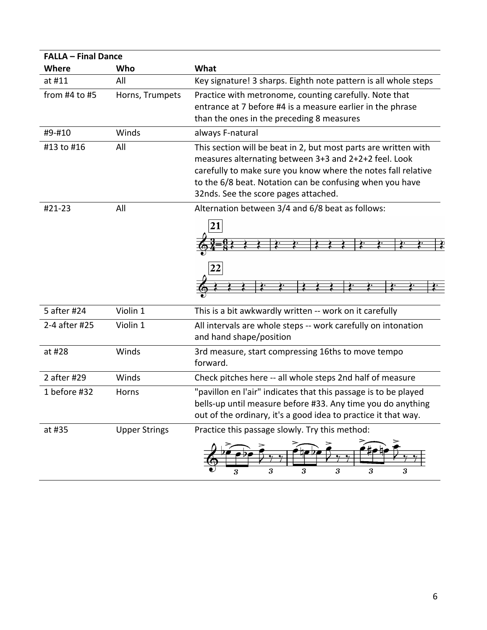| <b>FALLA - Final Dance</b> |                      |                                                                                                                                                                                                                                                                                               |
|----------------------------|----------------------|-----------------------------------------------------------------------------------------------------------------------------------------------------------------------------------------------------------------------------------------------------------------------------------------------|
| <b>Where</b>               | Who                  | What                                                                                                                                                                                                                                                                                          |
| at #11                     | All                  | Key signature! 3 sharps. Eighth note pattern is all whole steps                                                                                                                                                                                                                               |
| from $#4$ to $#5$          | Horns, Trumpets      | Practice with metronome, counting carefully. Note that<br>entrance at 7 before #4 is a measure earlier in the phrase<br>than the ones in the preceding 8 measures                                                                                                                             |
| #9-#10                     | Winds                | always F-natural                                                                                                                                                                                                                                                                              |
| #13 to #16                 | All                  | This section will be beat in 2, but most parts are written with<br>measures alternating between 3+3 and 2+2+2 feel. Look<br>carefully to make sure you know where the notes fall relative<br>to the 6/8 beat. Notation can be confusing when you have<br>32nds. See the score pages attached. |
| #21-23                     | All                  | Alternation between 3/4 and 6/8 beat as follows:                                                                                                                                                                                                                                              |
|                            |                      | 22                                                                                                                                                                                                                                                                                            |
| 5 after #24                | Violin 1             | This is a bit awkwardly written -- work on it carefully                                                                                                                                                                                                                                       |
| 2-4 after #25              | Violin 1             | All intervals are whole steps -- work carefully on intonation<br>and hand shape/position                                                                                                                                                                                                      |
| at #28                     | Winds                | 3rd measure, start compressing 16ths to move tempo<br>forward.                                                                                                                                                                                                                                |
| 2 after #29                | Winds                | Check pitches here -- all whole steps 2nd half of measure                                                                                                                                                                                                                                     |
| 1 before #32               | Horns                | "pavillon en l'air" indicates that this passage is to be played<br>bells-up until measure before #33. Any time you do anything<br>out of the ordinary, it's a good idea to practice it that way.                                                                                              |
| at #35                     | <b>Upper Strings</b> | Practice this passage slowly. Try this method:                                                                                                                                                                                                                                                |
|                            |                      | 3<br>3<br>3<br>3<br>3<br>3                                                                                                                                                                                                                                                                    |